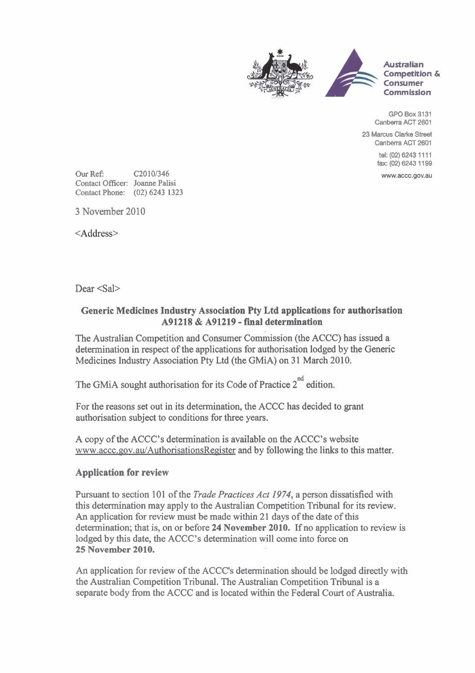

**GPO Box 3131 Canberra ACT 2601** 

**23 Marcus Clarke Street Canberra ACT 2601** 

> **tel: (02) 6243 1 1 1 1 fax: (02) 6243 1 199**

www.accc.gov.au

Our Ref **C20 101346**  Contact Officer: Joanne **Palisi**  Contact Phone: **(02) 6243 1323** 

3 November 2010

<Address>

Dear <Sal>

## **Generic Medicines Industry Association Pty Ltd applications for authorisation A91218** & **A91219** - **fmal determination**

The Australian Competition and Consumer Commission (the ACCC) has issued a determination in respect of the applications for authorisation lodged by the Generic Medicines Industry Association Pty Ltd (the GMiA) on 31 March 2010.

The GMiA sought authorisation for its Code of Practice  $2^{nd}$  edition.

For the reasons set out in its determination, the ACCC has decided to grant authorisation subject to conditions for three years.

A copy of the ACCC's determination is available on the ACCC's website www.accc.gov.au/AuthorisationsRegister and by following the links to this matter.

## **Application for review**

Pursuant to section 101 of the *Trade Practices Act 1974,* a person dissatisfied with this determination may apply to the Australian Competition Tribunal for its review. An application for review must be made within 21 days of the date of this determination; that is, on or before 24 **November 2010.** If no application to review is lodged by this date, the ACCC's determination will come into force on **25 November 2010.** 

An application for review of the ACCC's determination should be lodged directly with the Australian Competition Tribunal. The Australian Competition Tribunal is a separate body from the ACCC and is located within the Federal Court of Australia.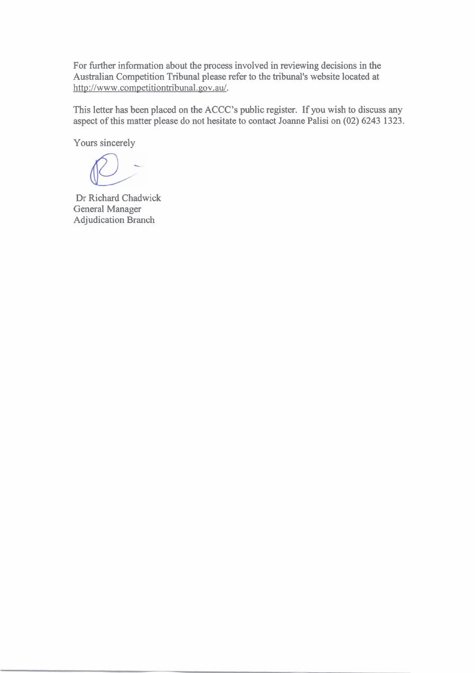For further information about the process involved in reviewing decisions in the Australian Competition Tribunal please refer to the tribunal's website located at http://www.competitiontribunal.gov.au/.

This letter has been placed on the ACCC's public register. If you wish to discuss any aspect of this matter please do not hesitate to contact Joanne Palisi on **(02) 6243 1323.** 

Yours sincerely

Dr Richard Chadwick General Manager Adjudication Branch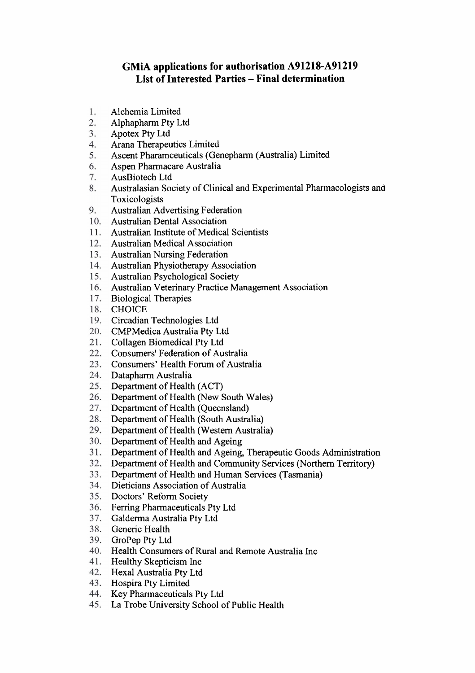## **GMiA applications for authorisation A91218-A91219 List of Interested Parties** - **Final determination**

- Alchemia Limited 1.
- 2. Alphapharm Pty Ltd
- $3.$ Apotex Pty Ltd
- Arana Therapeutics Limited  $4.$
- Ascent Pharamceuticals (Genepharm (Australia) Limited 5.
- 6. Aspen Pharmacare Australia
- $7<sub>1</sub>$ AusBiotech Ltd
- Australasian Society of Clinical and Experimental Pharmacologists ana 8. Toxicologists
- 9. Australian Advertising Federation
- 10. Australian Dental Association
- 11. Australian Institute of Medical Scientists
- 12. Australian Medical Association
- 13. Australian Nursing Federation
- 14. Australian Physiotherapy Association
- 15. Australian Psychological Society
- Australian Veterinary Practice Management Association
- 17. Biological Therapies
- 18. CHOICE
- 19. Circadian Technologies Ltd
- 20. CMPMedica Australia Pty Ltd
- 21. Collagen Biomedical Pty Ltd
- 22. Consumers' Federation of Australia
- 23. Consumers' Health Forum of Australia
- 24. Datapharm Australia
- 25. Department of Health (ACT)
- 26. Department of Health (New South Wales)
- 27. Department of Health (Queensland)
- Department of Health (South Australia)
- Department of Health (Western Australia)
- 30. Department of Health and Ageing
- Department of Health and Ageing, Therapeutic Goods Administration
- Department of Health and Community Services (Northern Territory)
- Department of Health and Human Services (Tasmania)
- Dieticians Association of Australia
- 35. Doctors' Reform Society
- 36. Ferring Pharmaceuticals Pty Ltd
- 37. Galderma Australia Pty Ltd
- 38. Generic Health
- GroPep Pty Ltd
- 40. Health Consumers of Rural and Remote Australia Inc
- 41. Healthy Skepticism Inc
- 42. Hexal Australia Pty Ltd
- 43. Hospira Pty Limited
- 44. Key Pharmaceuticals Pty Ltd
- La Trobe University School of Public Health